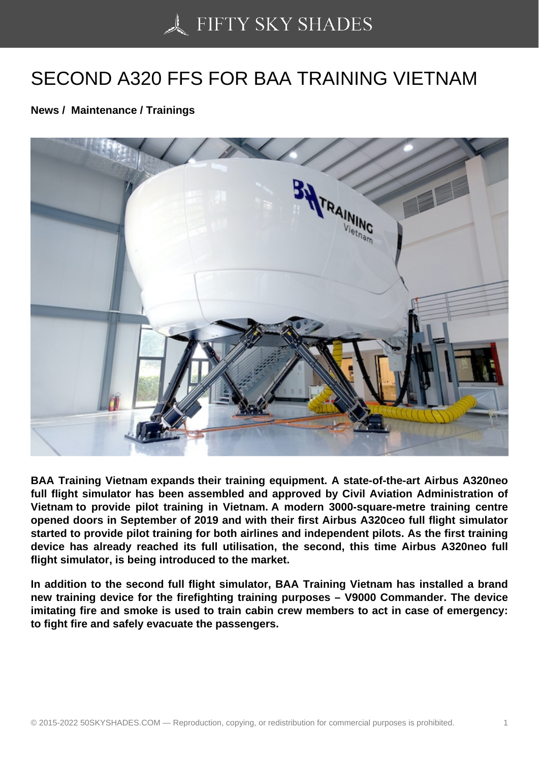## [SECOND A320 FFS FO](https://50skyshades.com)R BAA TRAINING VIETNAM

News / Maintenance / Trainings

BAA Training Vietnam expands their training equipment. A state-of-the-art Airbus A320neo full flight simulator has been assembled and approved by Civil Aviation Administration of Vietnam to provide pilot training in Vietnam. A modern 3000-square-metre training centre opened doors in September of 2019 and with their first Airbus A320ceo full flight simulator started to provide pilot training for both airlines and independent pilots. As the first training device has already reached its full utilisation, the second, this time Airbus A320neo full flight simulator, is being introduced to the market.

In addition to the second full flight simulator, BAA Training Vietnam has installed a brand new training device for the firefighting training purposes – V9000 Commander. The device imitating fire and smoke is used to train cabin crew members to act in case of emergency: to fight fire and safely evacuate the passengers.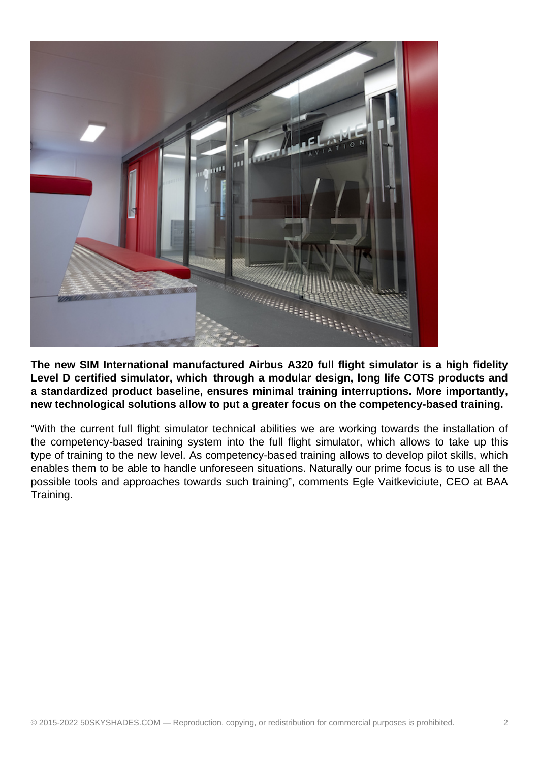

**The new SIM International manufactured Airbus A320 full flight simulator is a high fidelity Level D certified simulator, which through a modular design, long life COTS products and a standardized product baseline, ensures minimal training interruptions. More importantly, new technological solutions allow to put a greater focus on the competency-based training.**

"With the current full flight simulator technical abilities we are working towards the installation of the competency-based training system into the full flight simulator, which allows to take up this type of training to the new level. As competency-based training allows to develop pilot skills, which enables them to be able to handle unforeseen situations. Naturally our prime focus is to use all the possible tools and approaches towards such training", comments Egle Vaitkeviciute, CEO at BAA Training.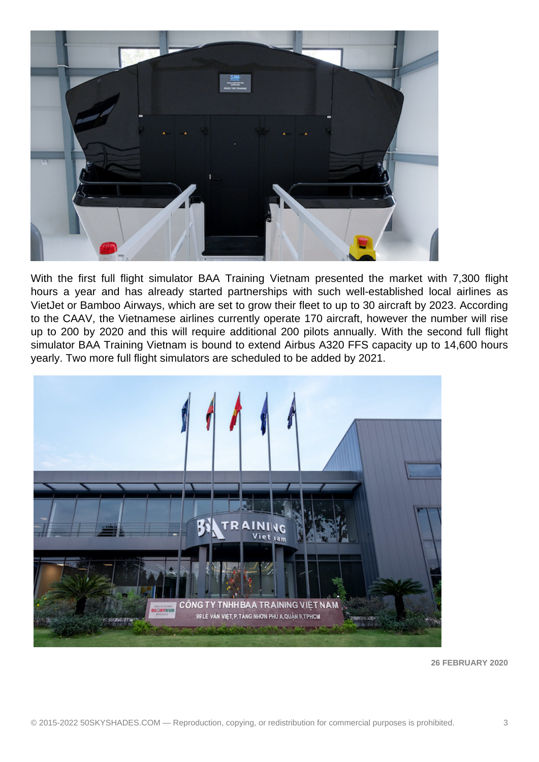

With the first full flight simulator BAA Training Vietnam presented the market with 7,300 flight hours a year and has already started partnerships with such well-established local airlines as VietJet or Bamboo Airways, which are set to grow their fleet to up to 30 aircraft by 2023. According to the CAAV, the Vietnamese airlines currently operate 170 aircraft, however the number will rise up to 200 by 2020 and this will require additional 200 pilots annually. With the second full flight simulator BAA Training Vietnam is bound to extend Airbus A320 FFS capacity up to 14,600 hours yearly. Two more full flight simulators are scheduled to be added by 2021.



**26 FEBRUARY 2020**